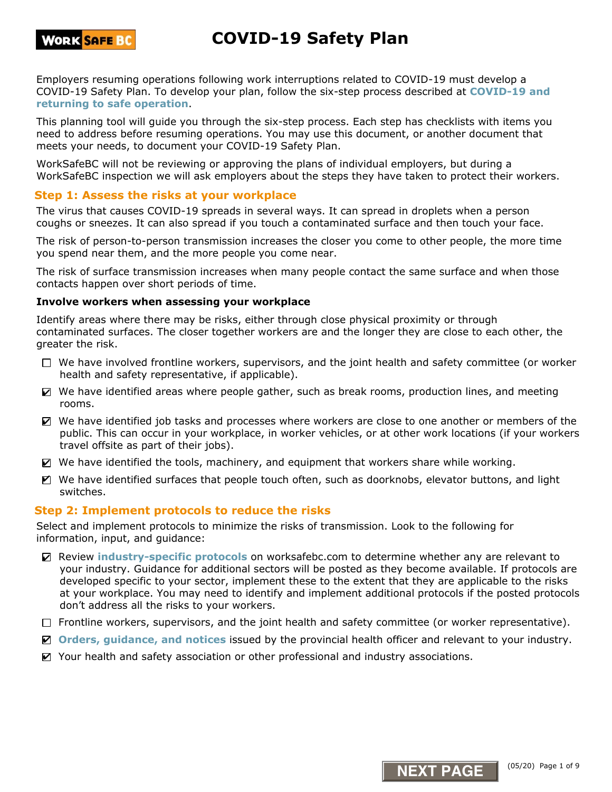

Employers resuming operations following work interruptions related to COVID-19 must develop a COVID-19 Safety Plan. To develop your plan, follow the six-step process described at **COVID-19 and returning to safe operation**.

This planning tool will guide you through the six-step process. Each step has checklists with items you need to address before resuming operations. You may use this document, or another document that meets your needs, to document your COVID-19 Safety Plan.

WorkSafeBC will not be reviewing or approving the plans of individual employers, but during a WorkSafeBC inspection we will ask employers about the steps they have taken to protect their workers.

## **Step 1: Assess the risks at your workplace**

The virus that causes COVID-19 spreads in several ways. It can spread in droplets when a person coughs or sneezes. It can also spread if you touch a contaminated surface and then touch your face.

The risk of person-to-person transmission increases the closer you come to other people, the more time you spend near them, and the more people you come near.

The risk of surface transmission increases when many people contact the same surface and when those contacts happen over short periods of time.

#### **Involve workers when assessing your workplace**

Identify areas where there may be risks, either through close physical proximity or through contaminated surfaces. The closer together workers are and the longer they are close to each other, the greater the risk.

- $\Box$  We have involved frontline workers, supervisors, and the joint health and safety committee (or worker health and safety representative, if applicable).
- $\Box$  We have identified areas where people gather, such as break rooms, production lines, and meeting rooms.
- We have identified job tasks and processes where workers are close to one another or members of the public. This can occur in your workplace, in worker vehicles, or at other work locations (if your workers travel offsite as part of their jobs).
- We have identified the tools, machinery, and equipment that workers share while working.
- $\blacksquare$  We have identified surfaces that people touch often, such as doorknobs, elevator buttons, and light switches.

#### **Step 2: Implement protocols to reduce the risks**

Select and implement protocols to minimize the risks of transmission. Look to the following for information, input, and guidance:

- Review industry-specific protocols on worksafebc.com to determine whether any are relevant to your industry. Guidance for additional sectors will be posted as they become available. If protocols are developed specific to your sector, implement these to the extent that they are applicable to the risks at your workplace. You may need to identify and implement additional protocols if the posted protocols don't address all the risks to your workers.
- $\Box$  Frontline workers, supervisors, and the joint health and safety committee (or worker representative).
- **Orders, guidance, and notices** issued by the provincial health officer and relevant to your industry.
- Your health and safety association or other professional and industry associations.

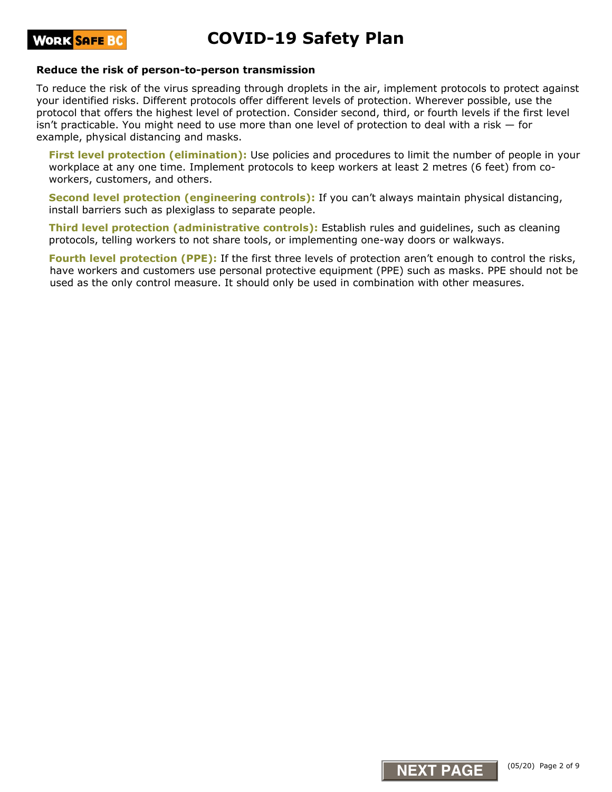

#### **Reduce the risk of person-to-person transmission**

To reduce the risk of the virus spreading through droplets in the air, implement protocols to protect against your identified risks. Different protocols offer different levels of protection. Wherever possible, use the protocol that offers the highest level of protection. Consider second, third, or fourth levels if the first level isn't practicable. You might need to use more than one level of protection to deal with a risk  $-$  for example, physical distancing and masks.

**First level protection (elimination):** Use policies and procedures to limit the number of people in your workplace at any one time. Implement protocols to keep workers at least 2 metres (6 feet) from coworkers, customers, and others.

**Second level protection (engineering controls):** If you can't always maintain physical distancing, install barriers such as plexiglass to separate people.

**Third level protection (administrative controls):** Establish rules and guidelines, such as cleaning protocols, telling workers to not share tools, or implementing one-way doors or walkways.

**Fourth level protection (PPE):** If the first three levels of protection aren't enough to control the risks, have workers and customers use personal protective equipment (PPE) such as masks. PPE should not be used as the only control measure. It should only be used in combination with other measures.

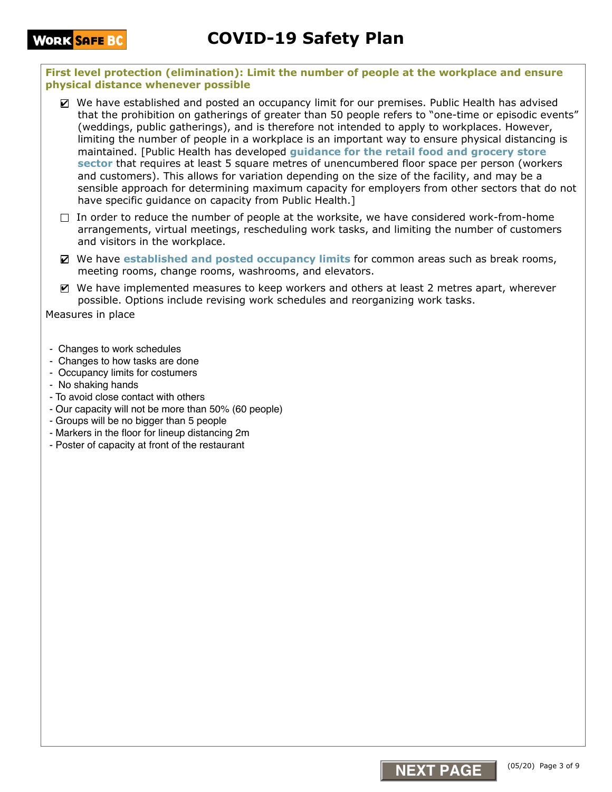**First level protection (elimination): Limit the number of people at the workplace and ensure physical distance whenever possible**

- We have established and posted an occupancy limit for our premises. Public Health has advised that the prohibition on gatherings of greater than 50 people refers to "one-time or episodic events" (weddings, public gatherings), and is therefore not intended to apply to workplaces. However, limiting the number of people in a workplace is an important way to ensure physical distancing is maintained. [Public Health has developed **guidance for the retail food and grocery store sector** that requires at least 5 square metres of unencumbered floor space per person (workers and customers). This allows for variation depending on the size of the facility, and may be a sensible approach for determining maximum capacity for employers from other sectors that do not have specific quidance on capacity from Public Health.]
- $\Box$  In order to reduce the number of people at the worksite, we have considered work-from-home arrangements, virtual meetings, rescheduling work tasks, and limiting the number of customers and visitors in the workplace.
- We have established and posted occupancy limits for common areas such as break rooms, meeting rooms, change rooms, washrooms, and elevators.
- $\blacksquare$  We have implemented measures to keep workers and others at least 2 metres apart, wherever possible. Options include revising work schedules and reorganizing work tasks.

Measures in place

- Changes to work schedules
- Changes to how tasks are done
- Occupancy limits for costumers
- No shaking hands
- To avoid close contact with others
- Our capacity will not be more than 50% (60 people)
- Groups will be no bigger than 5 people
- Markers in the floor for lineup distancing 2m
- Poster of capacity at front of the restaurant

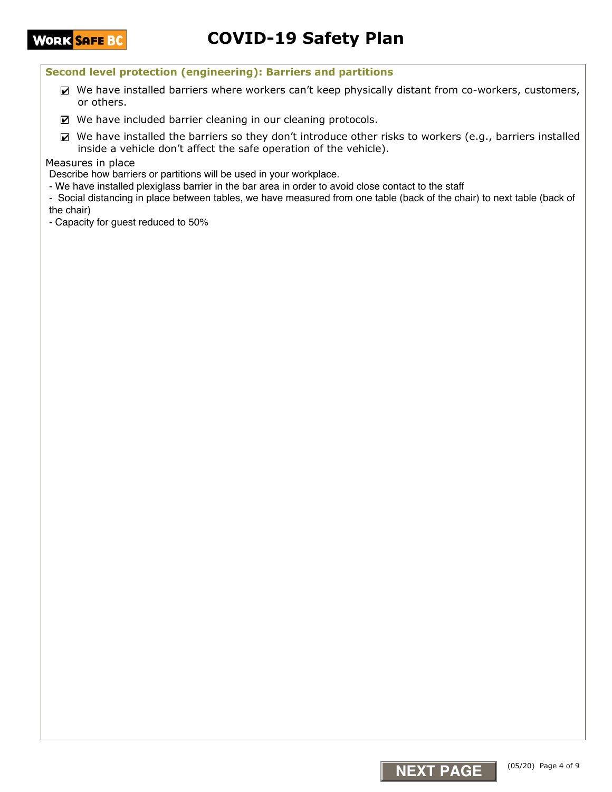### **Second level protection (engineering): Barriers and partitions**

- $\blacktriangleright$  We have installed barriers where workers can't keep physically distant from co-workers, customers, or others.
- We have included barrier cleaning in our cleaning protocols.
- $\triangledown$  We have installed the barriers so they don't introduce other risks to workers (e.g., barriers installed inside a vehicle don't affect the safe operation of the vehicle).

#### Measures in place

Describe how barriers or partitions will be used in your workplace.

- We have installed plexiglass barrier in the bar area in order to avoid close contact to the staff
- Social distancing in place between tables, we have measured from one table (back of the chair) to next table (back of the chair)
- Capacity for guest reduced to 50%

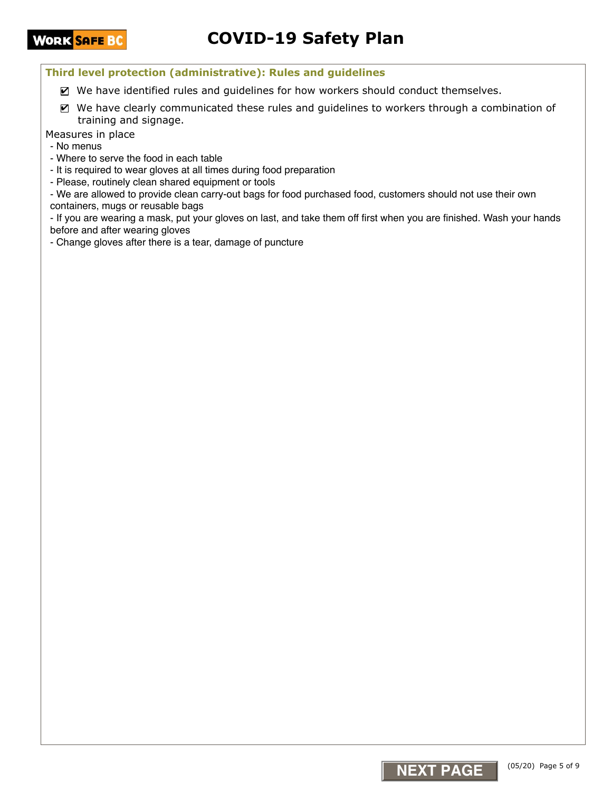# **COVID-19 Safety Plan**

**Third level protection (administrative): Rules and guidelines**

- $\blacksquare$  We have identified rules and guidelines for how workers should conduct themselves.
- $\blacksquare$  We have clearly communicated these rules and guidelines to workers through a combination of training and signage.

Measures in place

- No menus

- Where to serve the food in each table
- It is required to wear gloves at all times during food preparation

- Please, routinely clean shared equipment or tools

- We are allowed to provide clean carry-out bags for food purchased food, customers should not use their own containers, mugs or reusable bags

- If you are wearing a mask, put your gloves on last, and take them off first when you are finished. Wash your hands before and after wearing gloves

- Change gloves after there is a tear, damage of puncture

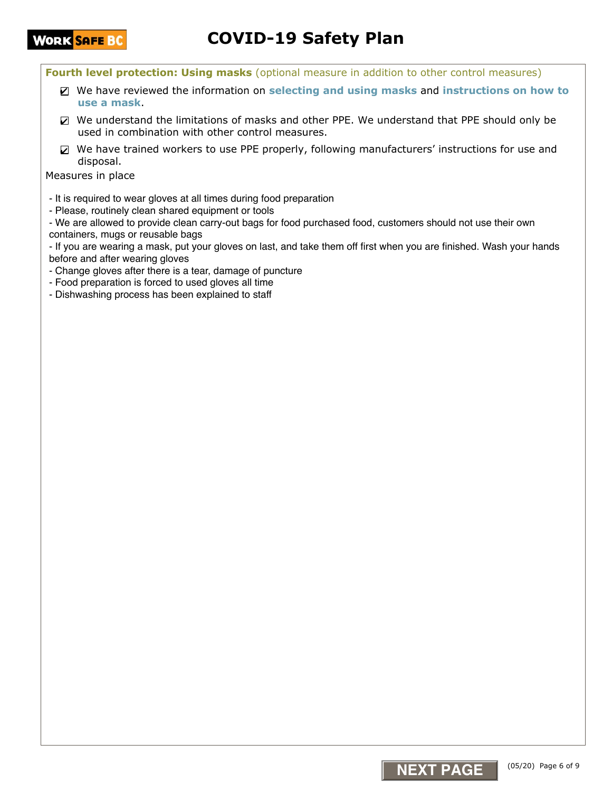# **COVID-19 Safety Plan**

**Fourth level protection: Using masks** (optional measure in addition to other control measures)

- We have reviewed the information on **selecting and using masks** and **instructions on how to**  ✔ **use a mask**.
- We understand the limitations of masks and other PPE. We understand that PPE should only be ✔ used in combination with other control measures.
- $\boxtimes$  We have trained workers to use PPE properly, following manufacturers' instructions for use and disposal.

Measures in place

- It is required to wear gloves at all times during food preparation
- Please, routinely clean shared equipment or tools

- We are allowed to provide clean carry-out bags for food purchased food, customers should not use their own containers, mugs or reusable bags

- If you are wearing a mask, put your gloves on last, and take them off first when you are finished. Wash your hands before and after wearing gloves

- Change gloves after there is a tear, damage of puncture
- Food preparation is forced to used gloves all time
- Dishwashing process has been explained to staff

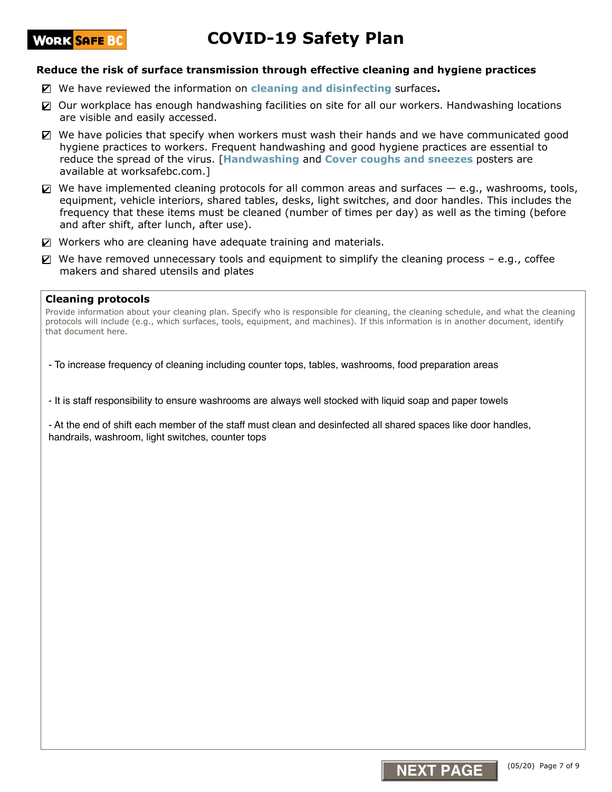# **COVID-19 Safety Plan**

#### **Reduce the risk of surface transmission through effective cleaning and hygiene practices**

- We have reviewed the information on **cleaning and disinfecting** surfaces**.**  ✔
- Our workplace has enough handwashing facilities on site for all our workers. Handwashing locations are visible and easily accessed.
- We have policies that specify when workers must wash their hands and we have communicated good hygiene practices to workers. Frequent handwashing and good hygiene practices are essential to reduce the spread of the virus. [**Handwashing** and **Cover coughs and sneezes** posters are available at worksafebc.com.]
- $\Box$  We have implemented cleaning protocols for all common areas and surfaces  $-$  e.g., washrooms, tools, equipment, vehicle interiors, shared tables, desks, light switches, and door handles. This includes the frequency that these items must be cleaned (number of times per day) as well as the timing (before and after shift, after lunch, after use).
- Workers who are cleaning have adequate training and materials.
- $\boxtimes$  We have removed unnecessary tools and equipment to simplify the cleaning process e.g., coffee makers and shared utensils and plates

#### **Cleaning protocols**

Provide information about your cleaning plan. Specify who is responsible for cleaning, the cleaning schedule, and what the cleaning protocols will include (e.g., which surfaces, tools, equipment, and machines). If this information is in another document, identify that document here.

- To increase frequency of cleaning including counter tops, tables, washrooms, food preparation areas

- It is staff responsibility to ensure washrooms are always well stocked with liquid soap and paper towels

- At the end of shift each member of the staff must clean and desinfected all shared spaces like door handles, handrails, washroom, light switches, counter tops

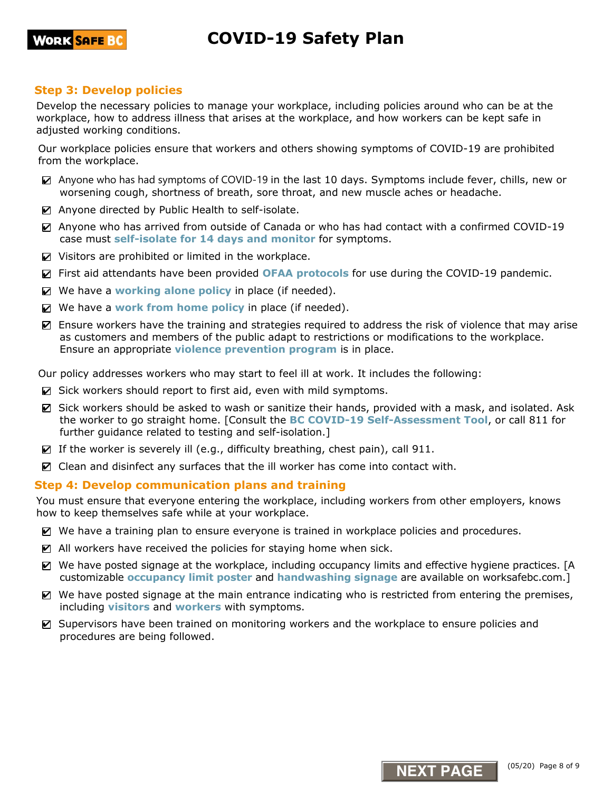## **Step 3: Develop policies**

Develop the necessary policies to manage your workplace, including policies around who can be at the workplace, how to address illness that arises at the workplace, and how workers can be kept safe in adjusted working conditions.

Our workplace policies ensure that workers and others showing symptoms of COVID-19 are prohibited from the workplace.

- Anyone who has had symptoms of COVID-19 in the last 10 days. Symptoms include fever, chills, new or worsening cough, shortness of breath, sore throat, and new muscle aches or headache.
- Anyone directed by Public Health to self-isolate.
- Anyone who has arrived from outside of Canada or who has had contact with a confirmed COVID-19 case must **self-isolate for 14 days and monitor** for symptoms.
- $\triangleright$  Visitors are prohibited or limited in the workplace.
- First aid attendants have been provided **OFAA protocols** for use during the COVID-19 pandemic. ✔
- We have a working alone policy in place (if needed).
- $\blacksquare$  We have a work from home policy in place (if needed).
- Ensure workers have the training and strategies required to address the risk of violence that may arise as customers and members of the public adapt to restrictions or modifications to the workplace. Ensure an appropriate **violence prevention program** is in place.

Our policy addresses workers who may start to feel ill at work. It includes the following:

- Sick workers should report to first aid, even with mild symptoms.
- Sick workers should be asked to wash or sanitize their hands, provided with a mask, and isolated. Ask the worker to go straight home. [Consult the **BC COVID-19 Self-Assessment Tool**, or call 811 for further guidance related to testing and self-isolation.]
- $\triangledown$  If the worker is severely ill (e.g., difficulty breathing, chest pain), call 911.
- $\triangledown$  Clean and disinfect any surfaces that the ill worker has come into contact with.

## **Step 4: Develop communication plans and training**

You must ensure that everyone entering the workplace, including workers from other employers, knows how to keep themselves safe while at your workplace.

- We have a training plan to ensure everyone is trained in workplace policies and procedures.
- $\blacksquare$  All workers have received the policies for staying home when sick.
- We have posted signage at the workplace, including occupancy limits and effective hygiene practices. [A customizable **occupancy limit poster** and **handwashing signage** are available on worksafebc.com.]
- $\blacksquare$  We have posted signage at the main entrance indicating who is restricted from entering the premises, including **visitors** and **workers** with symptoms.
- Supervisors have been trained on monitoring workers and the workplace to ensure policies and procedures are being followed.